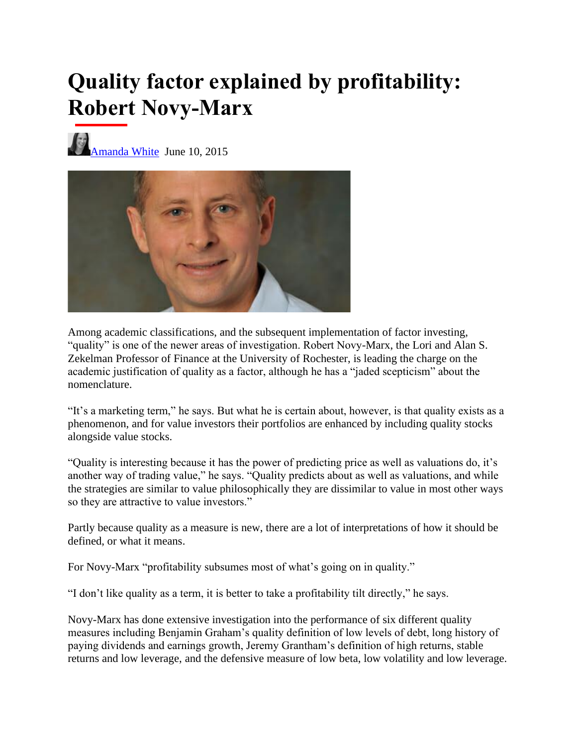## **Quality factor explained by profitability: Robert Novy-Marx**

[Amanda White](https://www.top1000funds.com/author/amandaw/) June 10, 2015



Among academic classifications, and the subsequent implementation of factor investing, "quality" is one of the newer areas of investigation. Robert Novy-Marx, the Lori and Alan S. Zekelman Professor of Finance at the University of Rochester, is leading the charge on the academic justification of quality as a factor, although he has a "jaded scepticism" about the nomenclature.

"It's a marketing term," he says. But what he is certain about, however, is that quality exists as a phenomenon, and for value investors their portfolios are enhanced by including quality stocks alongside value stocks.

"Quality is interesting because it has the power of predicting price as well as valuations do, it's another way of trading value," he says. "Quality predicts about as well as valuations, and while the strategies are similar to value philosophically they are dissimilar to value in most other ways so they are attractive to value investors."

Partly because quality as a measure is new, there are a lot of interpretations of how it should be defined, or what it means.

For Novy-Marx "profitability subsumes most of what's going on in quality."

"I don't like quality as a term, it is better to take a profitability tilt directly," he says.

Novy-Marx has done extensive investigation into the performance of six different quality measures including Benjamin Graham's quality definition of low levels of debt, long history of paying dividends and earnings growth, Jeremy Grantham's definition of high returns, stable returns and low leverage, and the defensive measure of low beta, low volatility and low leverage.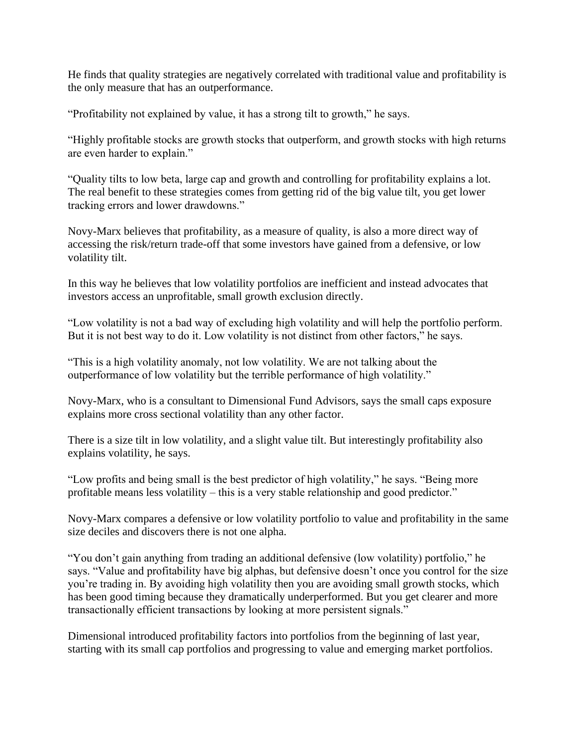He finds that quality strategies are negatively correlated with traditional value and profitability is the only measure that has an outperformance.

"Profitability not explained by value, it has a strong tilt to growth," he says.

"Highly profitable stocks are growth stocks that outperform, and growth stocks with high returns are even harder to explain."

"Quality tilts to low beta, large cap and growth and controlling for profitability explains a lot. The real benefit to these strategies comes from getting rid of the big value tilt, you get lower tracking errors and lower drawdowns."

Novy-Marx believes that profitability, as a measure of quality, is also a more direct way of accessing the risk/return trade-off that some investors have gained from a defensive, or low volatility tilt.

In this way he believes that low volatility portfolios are inefficient and instead advocates that investors access an unprofitable, small growth exclusion directly.

"Low volatility is not a bad way of excluding high volatility and will help the portfolio perform. But it is not best way to do it. Low volatility is not distinct from other factors," he says.

"This is a high volatility anomaly, not low volatility. We are not talking about the outperformance of low volatility but the terrible performance of high volatility."

Novy-Marx, who is a consultant to Dimensional Fund Advisors, says the small caps exposure explains more cross sectional volatility than any other factor.

There is a size tilt in low volatility, and a slight value tilt. But interestingly profitability also explains volatility, he says.

"Low profits and being small is the best predictor of high volatility," he says. "Being more profitable means less volatility – this is a very stable relationship and good predictor."

Novy-Marx compares a defensive or low volatility portfolio to value and profitability in the same size deciles and discovers there is not one alpha.

"You don't gain anything from trading an additional defensive (low volatility) portfolio," he says. "Value and profitability have big alphas, but defensive doesn't once you control for the size you're trading in. By avoiding high volatility then you are avoiding small growth stocks, which has been good timing because they dramatically underperformed. But you get clearer and more transactionally efficient transactions by looking at more persistent signals."

Dimensional introduced profitability factors into portfolios from the beginning of last year, starting with its small cap portfolios and progressing to value and emerging market portfolios.